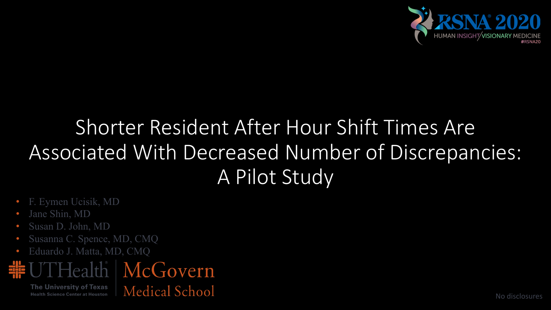

### Shorter Resident After Hour Shift Times Are Associated With Decreased Number of Discrepancies: A Pilot Study

- F. Eymen Ucisik, MD
- Jane Shin, MD
- Susan D. John, MD
- Susanna C. Spence, MD, CMQ
- Eduardo J. Matta, MD, CMQ



**The University of Texas Health Science Center at Houston** 

Medical School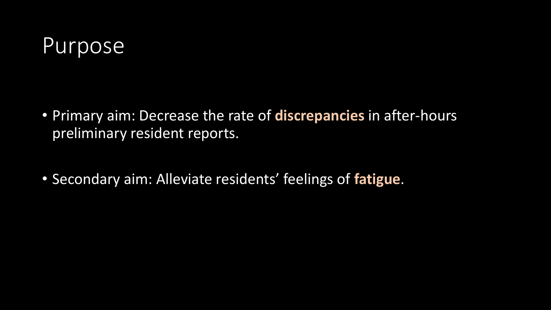### Purpose

- Primary aim: Decrease the rate of **discrepancies** in after-hours preliminary resident reports.
- Secondary aim: Alleviate residents' feelings of **fatigue**.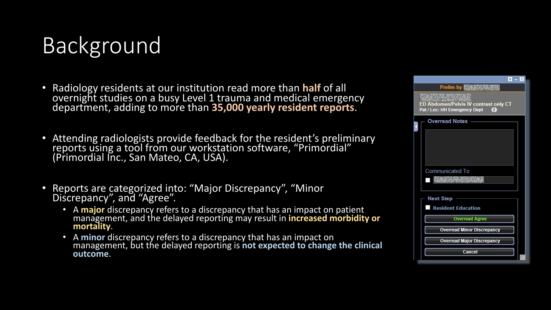# Background

- Radiology residents at our institution read more than **half** of all overnight studies on a busy Level 1 trauma and medical emergency department, adding to more than **35,000 yearly resident reports**.
- Attending radiologists provide feedback for the resident's preliminary reports using a tool from our workstation software, "Primordial" (Primordial Inc., San Mateo, CA, USA).
- Reports are categorized into: "Major Discrepancy", "Minor Discrepancy", and "Agree".
	- <sup>A</sup>**major** discrepancy refers to a discrepancy that has an impact on patient management, and the delayed reporting may result in **increased morbidity or mortality**.
	- <sup>A</sup>**minor** discrepancy refers to a discrepancy that has an impact on management, but the delayed reporting is **not expected to change the clinical outcome**.

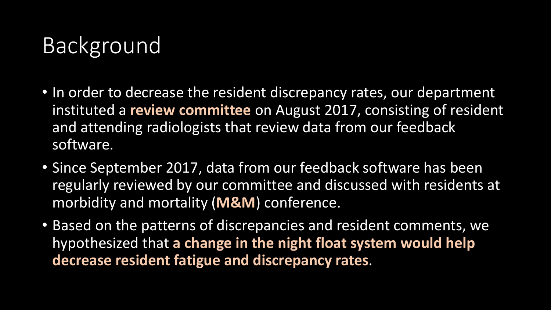## Background

- In order to decrease the resident discrepancy rates, our department instituted a **review committee** on August 2017, consisting of resident and attending radiologists that review data from our feedback software.
- Since September 2017, data from our feedback software has been regularly reviewed by our committee and discussed with residents at morbidity and mortality (**M&M**) conference.
- Based on the patterns of discrepancies and resident comments, we hypothesized that **a change in the night float system would help decrease resident fatigue and discrepancy rates**.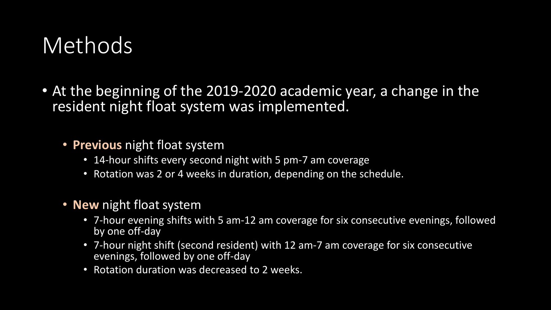### Methods

• At the beginning of the 2019-2020 academic year, a change in the resident night float system was implemented.

### • **Previous** night float system

- 14-hour shifts every second night with 5 pm-7 am coverage
- Rotation was 2 or 4 weeks in duration, depending on the schedule.
- **New** night float system
	- 7-hour evening shifts with 5 am-12 am coverage for six consecutive evenings, followed by one off-day
	- 7-hour night shift (second resident) with 12 am-7 am coverage for six consecutive evenings, followed by one off-day
	- Rotation duration was decreased to 2 weeks.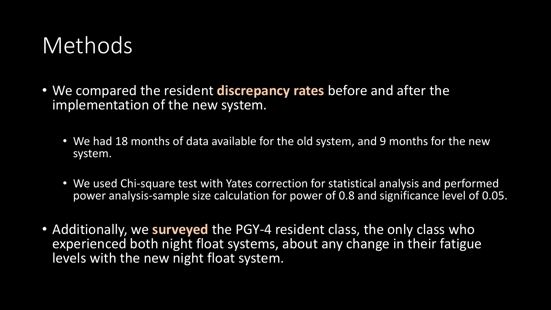### Methods

- We compared the resident **discrepancy rates** before and after the implementation of the new system.
	- We had 18 months of data available for the old system, and 9 months for the new system.
	- We used Chi-square test with Yates correction for statistical analysis and performed power analysis-sample size calculation for power of 0.8 and significance level of 0.05.
- Additionally, we **surveyed** the PGY-4 resident class, the only class who experienced both night float systems, about any change in their fatigue levels with the new night float system.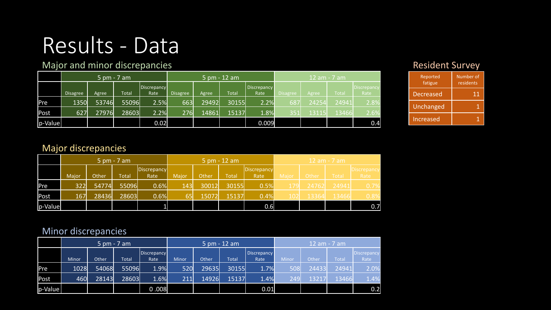## Results - Data

#### Major and minor discrepancies

|         | $5 \text{ pm} - 7 \text{ am}$ |       |              |                     |                 |       | 5 pm - 12 am |                     | $12$ am - 7 am  |       |       |                     |
|---------|-------------------------------|-------|--------------|---------------------|-----------------|-------|--------------|---------------------|-----------------|-------|-------|---------------------|
|         | <b>Disagree</b>               |       | <b>Total</b> | Discrepancy<br>Rate | <b>Disagree</b> |       | <b>Total</b> | Discrepancy<br>Rate | <b>Disagree</b> |       | Total | Discrepancy<br>Rate |
|         |                               | Agree |              |                     |                 | Agree |              |                     |                 | Agree |       |                     |
| Pre     | 1350                          | 53746 | 55096        | 2.5%                | 663             | 29492 | 30155        | 2.2%                | 687             | 24254 | 24941 | 2.8%                |
| Post    | 627                           | 27976 | 28603        | 2.2%                | 276             | 14861 | 15137        | 1.8%                | 351             | 13115 | 13466 | 2.6%                |
| p-Value |                               |       |              | 0.02                |                 |       |              | 0.009               |                 |       |       | 0.4                 |

#### Resident Survey

| Reported<br>fatigue | Number of<br>residents |  |  |  |
|---------------------|------------------------|--|--|--|
| Decreased           | 11                     |  |  |  |
| Unchanged           | 1                      |  |  |  |
| Increased           |                        |  |  |  |

#### Major discrepancies

|             | $5 \text{ pm} - 7 \text{ am}$ |       |              |             |       |       | $5 \text{ pm} - 12 \text{ am}$ |                    | $12$ am - 7 am |       |              |             |
|-------------|-------------------------------|-------|--------------|-------------|-------|-------|--------------------------------|--------------------|----------------|-------|--------------|-------------|
|             |                               |       |              | Discrepancy |       |       |                                | <b>Discrepancy</b> |                |       |              | Discrepancy |
|             | Major                         | Other | <b>Total</b> | Rate        | Major | Other | <b>Total</b>                   | Rate               | Major          | Other | <b>Total</b> | Rate        |
| <b>IPre</b> | 322                           | 54774 | 55096        | 0.6%        | 143   | 30012 | 30155                          | 0.5%               | <b>179</b>     | 24762 | 24941        | 0.7%        |
| Post        | 167                           | 28436 | 28603        | 0.6%        | 65    | 15072 | 15137                          | 0.4%               | 102            | 13364 | 13466        | 0.8%        |
| p-Value     |                               |       |              |             |       |       |                                | 0.6                |                |       |              | 0.7         |

#### Minor discrepancies

|         | $5 \text{ pm} - 7 \text{ am}$ |              |              |                            |       |         | 5 pm - 12 am |                     | 12 am - 7 am |       |             |                     |
|---------|-------------------------------|--------------|--------------|----------------------------|-------|---------|--------------|---------------------|--------------|-------|-------------|---------------------|
|         | <b>Minor</b>                  | <b>Other</b> | <b>Total</b> | <b>Discrepancy</b><br>Rate | Minor | Other   | Total        | Discrepancy<br>Rate | Minor        | Other | $\sf Total$ | Discrepancy<br>Rate |
| Pre     | 1028                          | 54068        | 55096        | 1.9%                       | 520   | 29635 ' | 30155        | 1.7%                | 508          | 24433 | 24941       | 2.0%                |
| Post    | 460                           | 28143        | 28603        | 1.6%                       | 211   | 14926   | 15137        | 1.4%                | 249          | 13217 | 13466       | $1.4\%$             |
| p-Value |                               |              |              | 800.0                      |       |         |              | 0.01                |              |       |             | 0.2                 |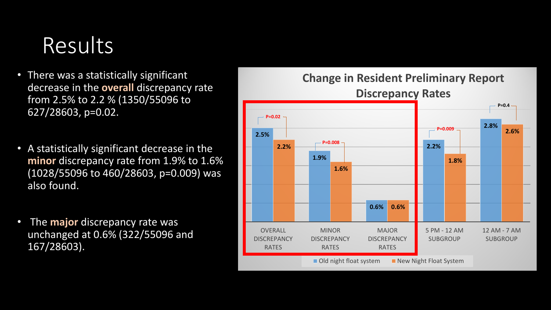## Results

- There was a statistically significant decrease in the **overall** discrepancy rate from 2.5% to 2.2 % (1350/55096 to 627/28603, p=0.02.
- A statistically significant decrease in the minor discrepancy rate from 1.9% to 1.6% (1028/55096 to 460/28603, p=0.009) was also found.
- The **major** discrepancy rate was unchanged at 0.6% (322/55096 and 167/28603).

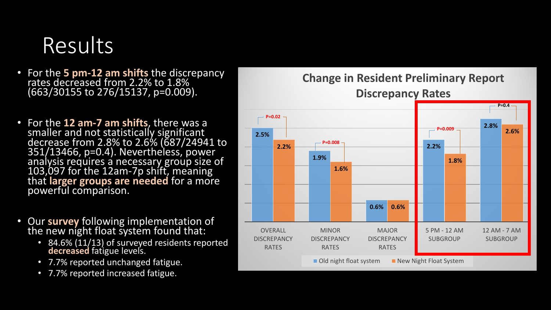## Results

- For the **5 pm-12 am shifts** the discrepancy rates decreased from 2.2% to 1.8% (663/30155 to 276/15137, p=0.009).
- For the **12 am-7 am shifts**, there was a smaller and not statistically significant decrease from 2.8% to 2.6% (687/24941 to 351/13466, p=0.4). Nevertheless, power analysis requires a necessary group size of<br>103,097 for the 12am-7p shift, meaning 103,097 for the 12am-7p shift, meaning<br>that **larger groups are needed** for a more powerful comparison.
- Our **survey** following implementation of the new night float system found that:
	- 84.6% (11/13) of surveyed residents reported **decreased** fatigue levels.
	- 7.7% reported unchanged fatigue.
	- 7.7% reported increased fatigue.